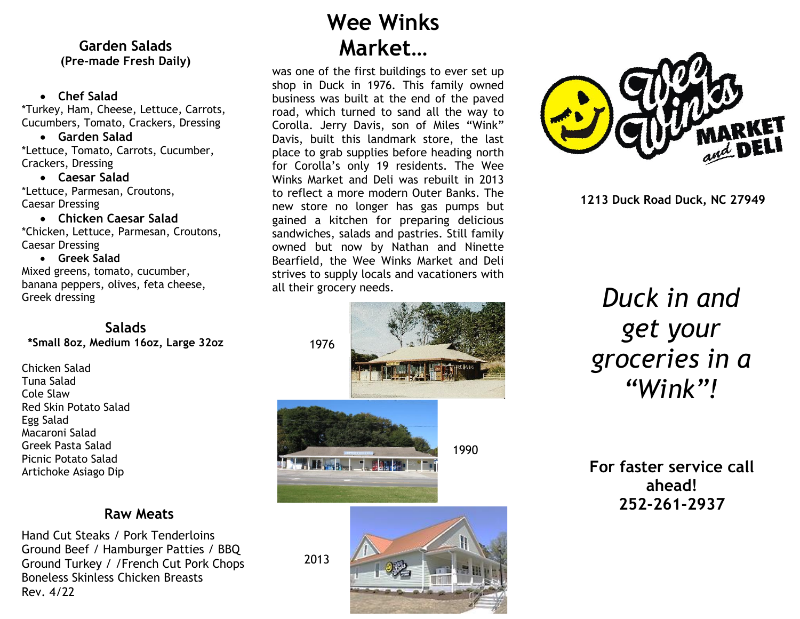# **Garden Salads Market… (Pre-made Fresh Daily)**

#### • **Chef Salad**

\*Turkey, Ham, Cheese, Lettuce, Carrots, Cucumbers, Tomato, Crackers, Dressing

#### • **Garden Salad**

\*Lettuce, Tomato, Carrots, Cucumber, Crackers, Dressing

• **Caesar Salad** \*Lettuce, Parmesan, Croutons, Caesar Dressing

#### • **Chicken Caesar Salad**

\*Chicken, Lettuce, Parmesan, Croutons, Caesar Dressing

#### • **Greek Salad**

Mixed greens, tomato, cucumber, banana peppers, olives, feta cheese, Greek dressing

#### **Salads \*Small 8oz, Medium 16oz, Large 32oz**

Chicken Salad Tuna Salad Cole Slaw Red Skin Potato Salad Egg Salad Macaroni Salad Greek Pasta Salad Picnic Potato Salad Artichoke Asiago Dip

## **Raw Meats**

Hand Cut Steaks / Pork Tenderloins Ground Beef / Hamburger Patties / BBQ Ground Turkey / /French Cut Pork Chops Boneless Skinless Chicken Breasts Rev. 4/22

# **Wee Winks**

was one of the first buildings to ever set up shop in Duck in 1976. This family owned business was built at the end of the paved road, which turned to sand all the way to Corolla. Jerry Davis, son of Miles "Wink" Davis, built this landmark store, the last place to grab supplies before heading north for Corolla's only 19 residents. The Wee Winks Market and Deli was rebuilt in 2013 to reflect a more modern Outer Banks. The new store no longer has gas pumps but gained a kitchen for preparing delicious sandwiches, salads and pastries. Still family owned but now by Nathan and Ninette Bearfield, the Wee Winks Market and Deli strives to supply locals and vacationers with all their grocery needs.





**1213 Duck Road Duck, NC 27949**

# *Duck in and get your groceries in a "Wink"!*

**For faster service call ahead! 252-261-2937**

2013